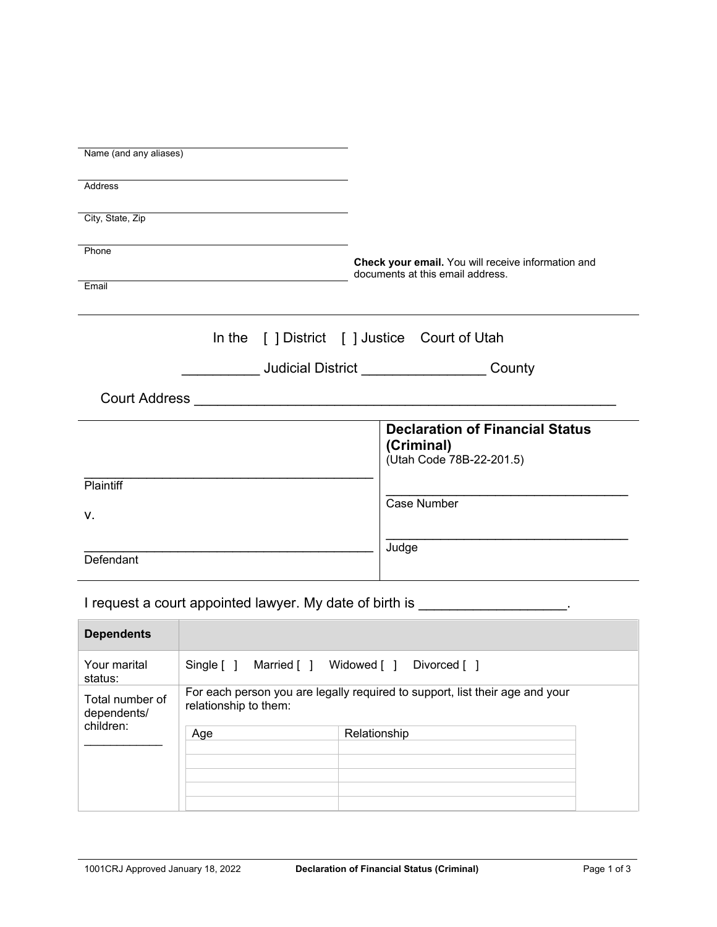| Name (and any aliases)                                                         |                                                                                        |
|--------------------------------------------------------------------------------|----------------------------------------------------------------------------------------|
| <b>Address</b>                                                                 |                                                                                        |
| City, State, Zip                                                               |                                                                                        |
|                                                                                |                                                                                        |
| Phone                                                                          | Check your email. You will receive information and<br>documents at this email address. |
| Email                                                                          |                                                                                        |
|                                                                                | In the [ ] District [ ] Justice Court of Utah                                          |
|                                                                                |                                                                                        |
|                                                                                |                                                                                        |
|                                                                                | <b>Declaration of Financial Status</b><br>(Criminal)<br>(Utah Code 78B-22-201.5)       |
| Plaintiff                                                                      |                                                                                        |
| v.                                                                             | Case Number                                                                            |
| Defendant                                                                      | Judge                                                                                  |
| I request a court appointed lawyer. My date of birth is _____________________. |                                                                                        |
| <b>Dependents</b>                                                              |                                                                                        |

| <b>Deperiueriis</b>            |                                                                                                       |              |
|--------------------------------|-------------------------------------------------------------------------------------------------------|--------------|
| Your marital<br>status:        | Married [ ] Widowed [ ]<br>Single $\lceil \; \rceil$                                                  | Divorced [ ] |
| Total number of<br>dependents/ | For each person you are legally required to support, list their age and your<br>relationship to them: |              |
| children:                      | Age                                                                                                   | Relationship |
|                                |                                                                                                       |              |
|                                |                                                                                                       |              |
|                                |                                                                                                       |              |
|                                |                                                                                                       |              |
|                                |                                                                                                       |              |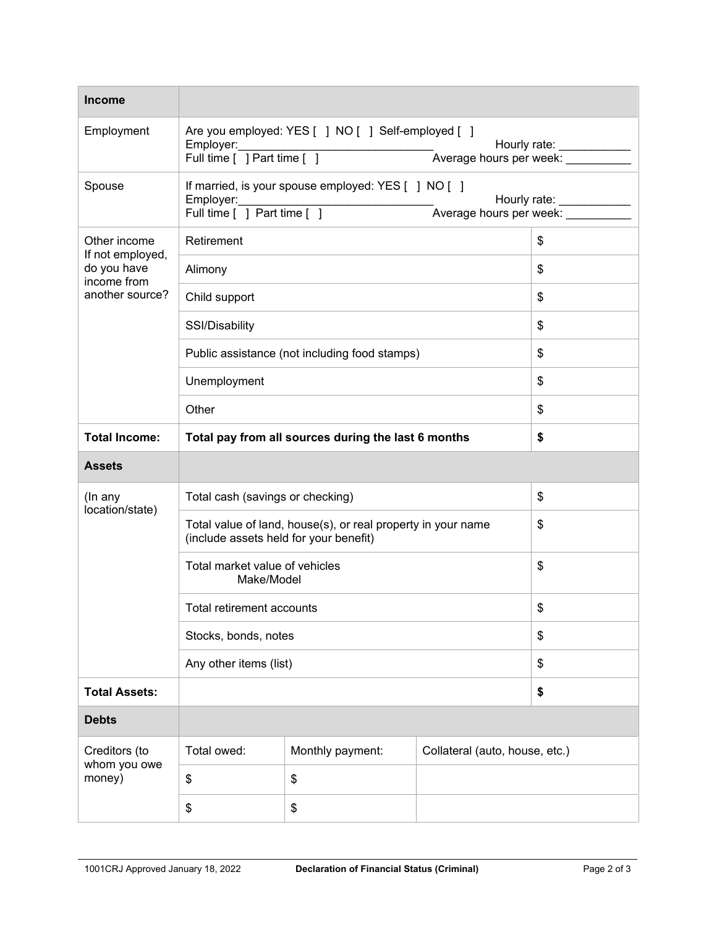| <b>Income</b>                                  |                                                                                                        |                  |                                |    |
|------------------------------------------------|--------------------------------------------------------------------------------------------------------|------------------|--------------------------------|----|
| Employment                                     | Are you employed: YES [ ] NO [ ] Self-employed [ ]<br>Employer:<br>Full time [ ] Part time [ ]         |                  |                                |    |
| Spouse                                         | If married, is your spouse employed: YES [ ] NO [ ]<br>Employer:<br>Full time [ ] Part time [ ]        |                  |                                |    |
| Other income                                   | Retirement                                                                                             |                  | \$                             |    |
| If not employed,<br>do you have<br>income from | Alimony                                                                                                |                  |                                | \$ |
| another source?                                | Child support                                                                                          |                  |                                | \$ |
|                                                | SSI/Disability                                                                                         |                  |                                | \$ |
|                                                | Public assistance (not including food stamps)                                                          |                  |                                | \$ |
|                                                | Unemployment                                                                                           |                  |                                | \$ |
|                                                | Other                                                                                                  |                  |                                | \$ |
| <b>Total Income:</b>                           | Total pay from all sources during the last 6 months                                                    |                  |                                | \$ |
| <b>Assets</b>                                  |                                                                                                        |                  |                                |    |
| (In any<br>location/state)                     | Total cash (savings or checking)                                                                       |                  | \$                             |    |
|                                                | Total value of land, house(s), or real property in your name<br>(include assets held for your benefit) |                  |                                | \$ |
|                                                | Total market value of vehicles<br>Make/Model                                                           |                  |                                | \$ |
|                                                | Total retirement accounts                                                                              |                  |                                | \$ |
|                                                | Stocks, bonds, notes                                                                                   |                  |                                | \$ |
| Any other items (list)                         |                                                                                                        |                  | \$                             |    |
| <b>Total Assets:</b>                           |                                                                                                        |                  |                                | \$ |
| <b>Debts</b>                                   |                                                                                                        |                  |                                |    |
| Creditors (to<br>whom you owe<br>money)        | Total owed:                                                                                            | Monthly payment: | Collateral (auto, house, etc.) |    |
|                                                | \$                                                                                                     | \$               |                                |    |
|                                                | \$                                                                                                     | \$               |                                |    |